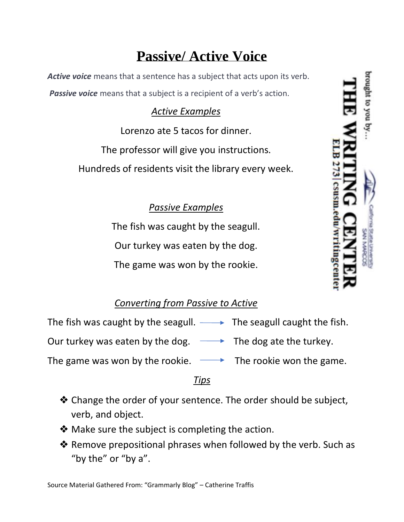# **Passive/ Active Voice**

*Active voice* means that a sentence has a subject that acts upon its verb. **Passive voice** means that a subject is a recipient of a verb's action.

### *Active Examples*

Lorenzo ate 5 tacos for dinner.

The professor will give you instructions.

Hundreds of residents visit the library every week.

## *Passive Examples*

The fish was caught by the seagull. Our turkey was eaten by the dog. The game was won by the rookie.

# *Converting from Passive to Active*

The fish was caught by the seagull.  $\longrightarrow$  The seagull caught the fish.

Our turkey was eaten by the dog.  $\longrightarrow$  The dog ate the turkey.

The game was won by the rookie.  $\longrightarrow$  The rookie won the game.

#### *Tips*

- ❖ Change the order of your sentence. The order should be subject, verb, and object.
- ❖ Make sure the subject is completing the action.
- ❖ Remove prepositional phrases when followed by the verb. Such as "by the" or "by a".